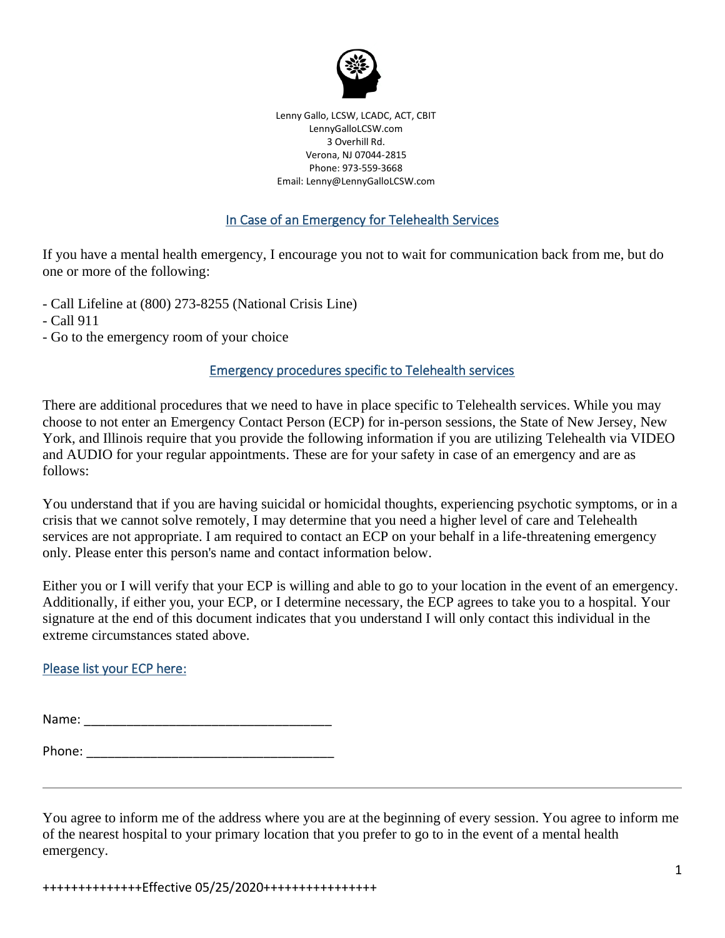

Lenny Gallo, LCSW, LCADC, ACT, CBIT LennyGalloLCSW.com 3 Overhill Rd. Verona, NJ 07044-2815 Phone: 973-559-3668 Email: Lenny@LennyGalloLCSW.com

## In Case of an Emergency for Telehealth Services

If you have a mental health emergency, I encourage you not to wait for communication back from me, but do one or more of the following:

- Call Lifeline at (800) 273-8255 (National Crisis Line)
- Call 911
- Go to the emergency room of your choice

## Emergency procedures specific to Telehealth services

There are additional procedures that we need to have in place specific to Telehealth services. While you may choose to not enter an Emergency Contact Person (ECP) for in-person sessions, the State of New Jersey, New York, and Illinois require that you provide the following information if you are utilizing Telehealth via VIDEO and AUDIO for your regular appointments. These are for your safety in case of an emergency and are as follows:

You understand that if you are having suicidal or homicidal thoughts, experiencing psychotic symptoms, or in a crisis that we cannot solve remotely, I may determine that you need a higher level of care and Telehealth services are not appropriate. I am required to contact an ECP on your behalf in a life-threatening emergency only. Please enter this person's name and contact information below.

Either you or I will verify that your ECP is willing and able to go to your location in the event of an emergency. Additionally, if either you, your ECP, or I determine necessary, the ECP agrees to take you to a hospital. Your signature at the end of this document indicates that you understand I will only contact this individual in the extreme circumstances stated above.

## Please list your ECP here:

Name: \_\_\_\_\_\_\_\_\_\_\_\_\_\_\_\_\_\_\_\_\_\_\_\_\_\_\_\_\_\_\_\_\_\_\_

Phone: \_\_\_\_\_\_\_\_\_\_\_\_\_\_\_\_\_\_\_\_\_\_\_\_\_\_\_\_\_\_\_\_\_\_\_

You agree to inform me of the address where you are at the beginning of every session. You agree to inform me of the nearest hospital to your primary location that you prefer to go to in the event of a mental health emergency.